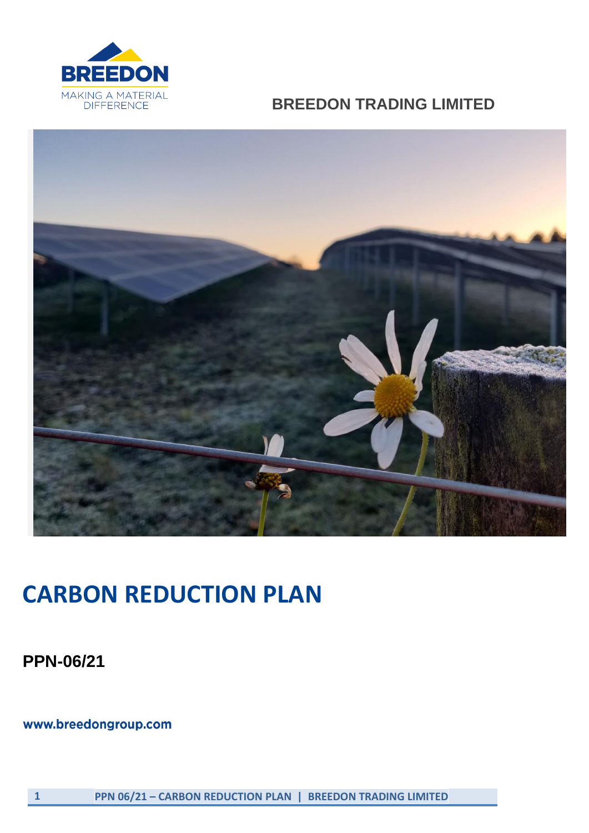

## **BREEDON TRADING LIMITED**



## **CARBON REDUCTION PLAN**

**PPN-06/21**

www.breedongroup.com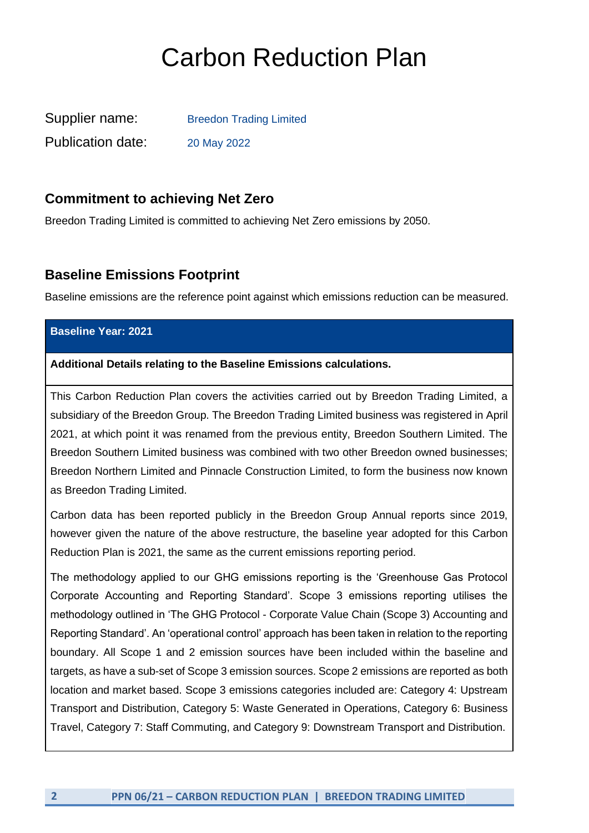# Carbon Reduction Plan

| Supplier name:           | <b>Breedon Trading Limited</b> |
|--------------------------|--------------------------------|
| <b>Publication date:</b> | 20 May 2022                    |

#### **Commitment to achieving Net Zero**

Breedon Trading Limited is committed to achieving Net Zero emissions by 2050.

#### **Baseline Emissions Footprint**

Baseline emissions are the reference point against which emissions reduction can be measured.

#### **Baseline Year: 2021**

#### **Additional Details relating to the Baseline Emissions calculations.**

This Carbon Reduction Plan covers the activities carried out by Breedon Trading Limited, a subsidiary of the Breedon Group. The Breedon Trading Limited business was registered in April 2021, at which point it was renamed from the previous entity, Breedon Southern Limited. The Breedon Southern Limited business was combined with two other Breedon owned businesses; Breedon Northern Limited and Pinnacle Construction Limited, to form the business now known as Breedon Trading Limited.

Carbon data has been reported publicly in the Breedon Group Annual reports since 2019, however given the nature of the above restructure, the baseline year adopted for this Carbon Reduction Plan is 2021, the same as the current emissions reporting period.

The methodology applied to our GHG emissions reporting is the 'Greenhouse Gas Protocol Corporate Accounting and Reporting Standard'. Scope 3 emissions reporting utilises the methodology outlined in 'The GHG Protocol - Corporate Value Chain (Scope 3) Accounting and Reporting Standard'. An 'operational control' approach has been taken in relation to the reporting boundary. All Scope 1 and 2 emission sources have been included within the baseline and targets, as have a sub-set of Scope 3 emission sources. Scope 2 emissions are reported as both location and market based. Scope 3 emissions categories included are: Category 4: Upstream Transport and Distribution, Category 5: Waste Generated in Operations, Category 6: Business Travel, Category 7: Staff Commuting, and Category 9: Downstream Transport and Distribution.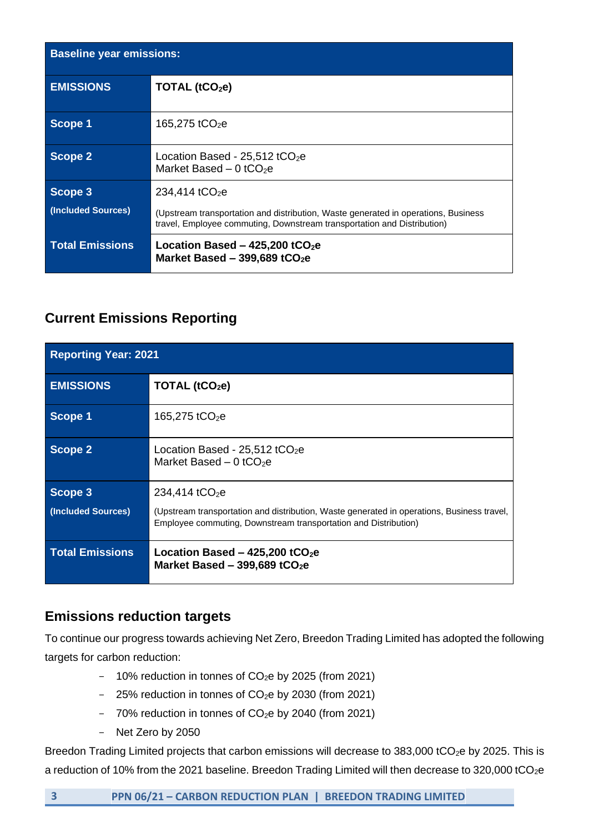| <b>Baseline year emissions:</b> |                                                                                                                                                               |
|---------------------------------|---------------------------------------------------------------------------------------------------------------------------------------------------------------|
| <b>EMISSIONS</b>                | TOTAL $(tCO2e)$                                                                                                                                               |
| Scope 1                         | 165,275 tCO <sub>2</sub> e                                                                                                                                    |
| Scope 2                         | Location Based - $25,512$ tCO <sub>2</sub> e<br>Market Based $-0$ tCO <sub>2</sub> e                                                                          |
| Scope 3                         | 234,414 tCO <sub>2</sub> e                                                                                                                                    |
| (Included Sources)              | (Upstream transportation and distribution, Waste generated in operations, Business<br>travel, Employee commuting, Downstream transportation and Distribution) |
| <b>Total Emissions</b>          | Location Based - $425,200$ tCO <sub>2</sub> e<br>Market Based - 399,689 tCO <sub>2</sub> e                                                                    |

### **Current Emissions Reporting**

| <b>Reporting Year: 2021</b> |                                                                                                                                                               |
|-----------------------------|---------------------------------------------------------------------------------------------------------------------------------------------------------------|
| <b>EMISSIONS</b>            | TOTAL (tCO <sub>2</sub> e)                                                                                                                                    |
| Scope 1                     | 165,275 tCO <sub>2</sub> e                                                                                                                                    |
| Scope 2                     | Location Based - $25,512$ tCO <sub>2</sub> e<br>Market Based $-0$ tCO <sub>2</sub> e                                                                          |
| Scope 3                     | 234,414 tCO <sub>2</sub> e                                                                                                                                    |
| (Included Sources)          | (Upstream transportation and distribution, Waste generated in operations, Business travel,<br>Employee commuting, Downstream transportation and Distribution) |
| <b>Total Emissions</b>      | Location Based $-$ 425,200 tCO <sub>2</sub> e<br>Market Based - 399,689 tCO <sub>2</sub> e                                                                    |

## **Emissions reduction targets**

To continue our progress towards achieving Net Zero, Breedon Trading Limited has adopted the following targets for carbon reduction:

- $-$  10% reduction in tonnes of CO<sub>2</sub>e by 2025 (from 2021)
- $-$  25% reduction in tonnes of CO<sub>2</sub>e by 2030 (from 2021)
- $-$  70% reduction in tonnes of CO<sub>2</sub>e by 2040 (from 2021)
- Net Zero by 2050

Breedon Trading Limited projects that carbon emissions will decrease to 383,000 tCO<sub>2</sub>e by 2025. This is a reduction of 10% from the 2021 baseline. Breedon Trading Limited will then decrease to 320,000 tCO<sub>2</sub>e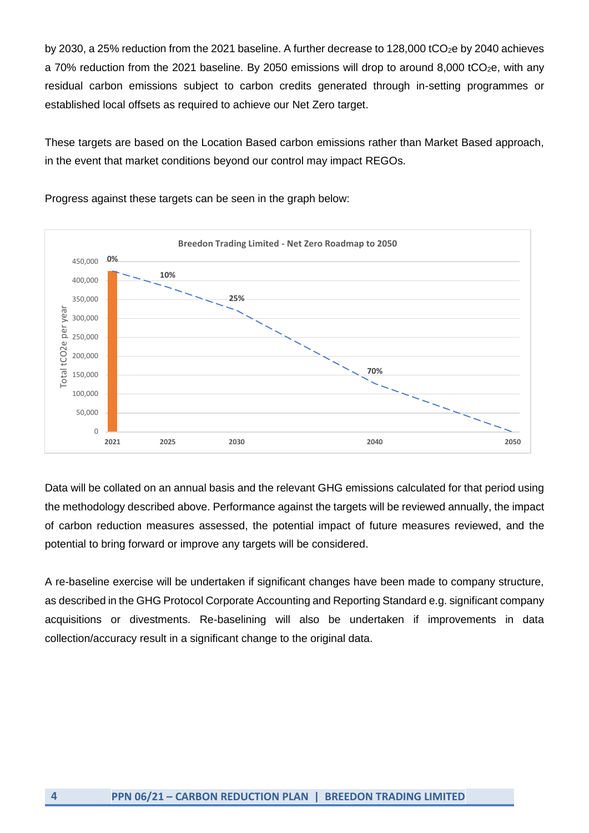by 2030, a 25% reduction from the 2021 baseline. A further decrease to 128,000 tCO<sub>2</sub>e by 2040 achieves a 70% reduction from the 2021 baseline. By 2050 emissions will drop to around 8,000 tCO<sub>2</sub>e, with any residual carbon emissions subject to carbon credits generated through in-setting programmes or established local offsets as required to achieve our Net Zero target.

These targets are based on the Location Based carbon emissions rather than Market Based approach, in the event that market conditions beyond our control may impact REGOs.



Progress against these targets can be seen in the graph below:

Data will be collated on an annual basis and the relevant GHG emissions calculated for that period using the methodology described above. Performance against the targets will be reviewed annually, the impact of carbon reduction measures assessed, the potential impact of future measures reviewed, and the potential to bring forward or improve any targets will be considered.

A re-baseline exercise will be undertaken if significant changes have been made to company structure, as described in the GHG Protocol Corporate Accounting and Reporting Standard e.g. significant company acquisitions or divestments. Re-baselining will also be undertaken if improvements in data collection/accuracy result in a significant change to the original data.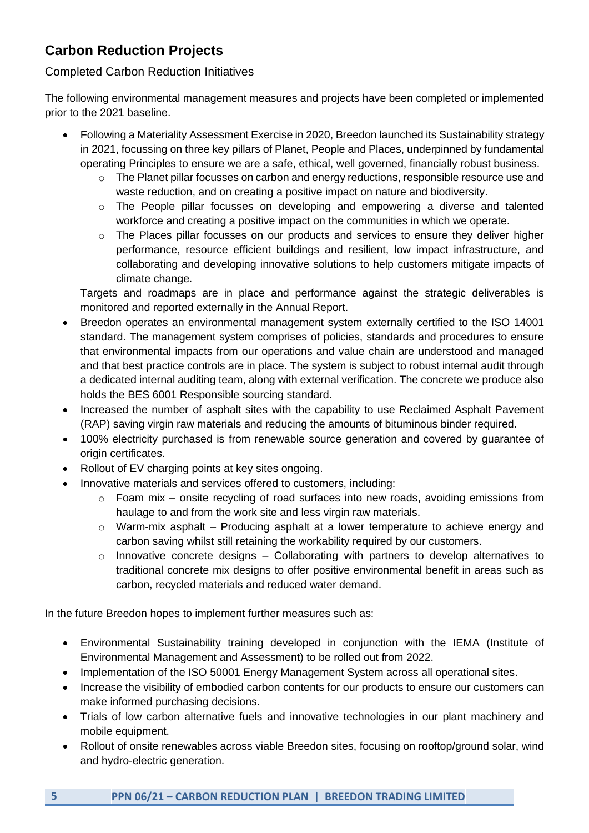## **Carbon Reduction Projects**

#### Completed Carbon Reduction Initiatives

The following environmental management measures and projects have been completed or implemented prior to the 2021 baseline.

- Following a Materiality Assessment Exercise in 2020, Breedon launched its Sustainability strategy in 2021, focussing on three key pillars of Planet, People and Places, underpinned by fundamental operating Principles to ensure we are a safe, ethical, well governed, financially robust business.
	- $\circ$  The Planet pillar focusses on carbon and energy reductions, responsible resource use and waste reduction, and on creating a positive impact on nature and biodiversity.
	- o The People pillar focusses on developing and empowering a diverse and talented workforce and creating a positive impact on the communities in which we operate.
	- $\circ$  The Places pillar focusses on our products and services to ensure they deliver higher performance, resource efficient buildings and resilient, low impact infrastructure, and collaborating and developing innovative solutions to help customers mitigate impacts of climate change.

Targets and roadmaps are in place and performance against the strategic deliverables is monitored and reported externally in the Annual Report.

- Breedon operates an environmental management system externally certified to the ISO 14001 standard. The management system comprises of policies, standards and procedures to ensure that environmental impacts from our operations and value chain are understood and managed and that best practice controls are in place. The system is subject to robust internal audit through a dedicated internal auditing team, along with external verification. The concrete we produce also holds the BES 6001 Responsible sourcing standard.
- Increased the number of asphalt sites with the capability to use Reclaimed Asphalt Pavement (RAP) saving virgin raw materials and reducing the amounts of bituminous binder required.
- 100% electricity purchased is from renewable source generation and covered by guarantee of origin certificates.
- Rollout of EV charging points at key sites ongoing.
- Innovative materials and services offered to customers, including:
	- o Foam mix onsite recycling of road surfaces into new roads, avoiding emissions from haulage to and from the work site and less virgin raw materials.
	- o Warm-mix asphalt Producing asphalt at a lower temperature to achieve energy and carbon saving whilst still retaining the workability required by our customers.
	- $\circ$  Innovative concrete designs Collaborating with partners to develop alternatives to traditional concrete mix designs to offer positive environmental benefit in areas such as carbon, recycled materials and reduced water demand.

In the future Breedon hopes to implement further measures such as:

- Environmental Sustainability training developed in conjunction with the IEMA (Institute of Environmental Management and Assessment) to be rolled out from 2022.
- Implementation of the ISO 50001 Energy Management System across all operational sites.
- Increase the visibility of embodied carbon contents for our products to ensure our customers can make informed purchasing decisions.
- Trials of low carbon alternative fuels and innovative technologies in our plant machinery and mobile equipment.
- Rollout of onsite renewables across viable Breedon sites, focusing on rooftop/ground solar, wind and hydro-electric generation.